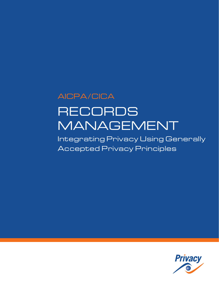# AICPA/CICA RECORDS MANAGEMENT

Integrating Privacy Using Generally Accepted Privacy Principles

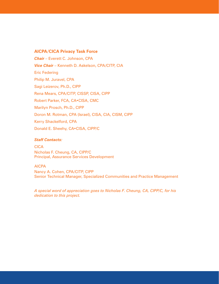#### **AICPA/CICA Privacy Task Force**

*Chair* – Everett C. Johnson, CPA *Vice Chair* – Kenneth D. Askelson, CPA/CITP, CIA Eric Federing Philip M. Juravel, CPA Sagi Leizerov, Ph.D., CIPP Rena Mears, CPA/CITP, CISSP, CISA, CIPP Robert Parker, FCA, CA•CISA, CMC Marilyn Prosch, Ph.D., CIPP Doron M. Rotman, CPA (Israel), CISA, CIA, CISM, CIPP Kerry Shackelford, CPA Donald E. Sheehy, CA•CISA, CIPP/C

#### *Staff Contacts:*

**CICA** Nicholas F. Cheung, CA, CIPP/C Principal, Assurance Services Development

#### AICPA

Nancy A. Cohen, CPA/CITP, CIPP Senior Technical Manager, Specialized Communities and Practice Management

*A special word of appreciation goes to Nicholas F. Cheung, CA, CIPP/C, for his dedication to this project.*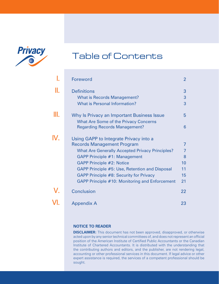

# Table of Contents

|     | <b>Foreword</b>                                        | $\overline{2}$ |
|-----|--------------------------------------------------------|----------------|
|     | <b>Definitions</b>                                     | 3              |
|     | <b>What is Records Management?</b>                     | 3              |
|     | <b>What is Personal Information?</b>                   | 3              |
| Ш.  | Why Is Privacy an Important Business Issue             | 5              |
|     | <b>What Are Some of the Privacy Concerns</b>           |                |
|     | <b>Regarding Records Management?</b>                   | 6              |
| IV. | Using GAPP to Integrate Privacy into a                 |                |
|     | <b>Records Management Program</b>                      | $\overline{7}$ |
|     | <b>What Are Generally Accepted Privacy Principles?</b> | $\overline{7}$ |
|     | GAPP Principle #1: Management                          | 8              |
|     | <b>GAPP Principle #2: Notice</b>                       | 10             |
|     | GAPP Principle #5: Use, Retention and Disposal         | 11             |
|     | GAPP Principle #8: Security for Privacy                | 15             |
|     | GAPP Principle #10: Monitoring and Enforcement         | 21             |
|     | <b>Conclusion</b>                                      | 22             |
|     | <b>Appendix A</b>                                      | 23             |

#### **Notice to Reader**

**DISCLAIMER:** This document has not been approved, disapproved, or otherwise acted upon by any senior technical committees of, and does not represent an official position of the American Institute of Certified Public Accountants or the Canadian Institute of Chartered Accountants. It is distributed with the understanding that the contributing authors and editors, and the publisher, are not rendering legal, accounting or other professional services in this document. If legal advice or other expert assistance is required, the services of a competent professional should be sought.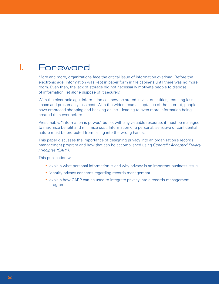## <span id="page-3-0"></span>I. Foreword

More and more, organizations face the critical issue of information overload. Before the electronic age, information was kept in paper form in file cabinets until there was no more room. Even then, the lack of storage did not necessarily motivate people to dispose of information, let alone dispose of it securely.

With the electronic age, information can now be stored in vast quantities, requiring less space and presumably less cost. With the widespread acceptance of the Internet, people have embraced shopping and banking online – leading to even more information being created than ever before.

Presumably, "information is power," but as with any valuable resource, it must be managed to maximize benefit and minimize cost. Information of a personal, sensitive or confidential nature must be protected from falling into the wrong hands.

This paper discusses the importance of designing privacy into an organization's records management program and how that can be accomplished using *Generally Accepted Privacy Principles (GAPP)*.

This publication will:

- explain what personal information is and why privacy is an important business issue.
- identify privacy concerns regarding records management.
- explain how GAPP can be used to integrate privacy into a records management program.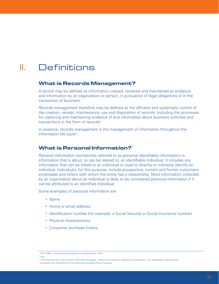# <span id="page-4-0"></span>II. Definitions

#### **What is Records Management?**

A *record* may be defined as information created, received and maintained as evidence and information by an organization or person, in pursuance of legal obligations or in the transaction of business<sup>1</sup>.

*Records management* therefore may be defined as the efficient and systematic control of the creation, receipt, maintenance, use and disposition of records, including the processes for capturing and maintaining evidence of and information about business activities and transactions in the form of records<sup>2</sup>.

In essence, records management is the management of information throughout the information life cycle<sup>3</sup>.

### **What is Personal Information?**<sup>4</sup>

*Personal information* (sometimes referred to as personal identifiable information) is information that is about, or can be related to, an identifiable individual. It includes any information that can be linked to an individual or used to directly or indirectly identify an individual. Individuals, for this purpose, include prospective, current and former customers, employees and others with whom the entity has a relationship. Most information collected by an organization about an individual is likely to be considered personal information if it can be attributed to an identified individual.

Some examples of personal information are:

- Name
- Home or email address
- Identification number (for example, a Social Security or Social Insurance number)
- Physical characteristics
- Consumer purchase history

<sup>&</sup>lt;sup>1</sup> ISO 15489-1, International Organization for Standardization, 2001

<sup>2</sup> ibid

<sup>&</sup>lt;sup>3</sup> The information life cycle consists of the following stages: Creation and Collection, Disclosure or Distribution, Use, Maintenance, and Disposal.

<sup>4</sup> Excerpted from the AICPA and CICA *Generally Accepted Privacy Principles*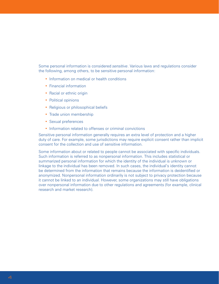Some personal information is considered *sensitive*. Various laws and regulations consider the following, among others, to be sensitive personal information:

- Information on medical or health conditions
- Financial information
- Racial or ethnic origin
- Political opinions
- Religious or philosophical beliefs
- Trade union membership
- Sexual preferences
- Information related to offenses or criminal convictions

Sensitive personal information generally requires an extra level of protection and a higher duty of care. For example, some jurisdictions may require explicit consent rather than implicit consent for the collection and use of sensitive information.

Some information about or related to people cannot be associated with specific individuals. Such information is referred to as nonpersonal information. This includes statistical or summarized personal information for which the identity of the individual is unknown or linkage to the individual has been removed. In such cases, the individual's identity cannot be determined from the information that remains because the information is deidentified or anonymized. Nonpersonal information ordinarily is not subject to privacy protection because it cannot be linked to an individual. However, some organizations may still have obligations over nonpersonal information due to other regulations and agreements (for example, clinical research and market research).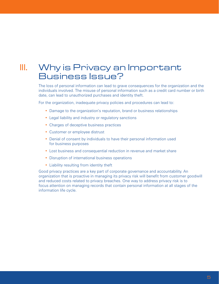# <span id="page-6-0"></span>III. Why is Privacy an Important Business Issue?

The loss of personal information can lead to grave consequences for the organization and the individuals involved. The misuse of personal information such as a credit card number or birth date, can lead to unauthorized purchases and identity theft.

For the organization, inadequate privacy policies and procedures can lead to:

- Damage to the organization's reputation, brand or business relationships
- Legal liability and industry or regulatory sanctions
- Charges of deceptive business practices
- Customer or employee distrust
- Denial of consent by individuals to have their personal information used for business purposes
- Lost business and consequential reduction in revenue and market share
- Disruption of international business operations
- Liability resulting from identity theft

Good privacy practices are a key part of corporate governance and accountability. An organization that is proactive in managing its privacy risk will benefit from customer goodwill and reduced costs related to privacy breaches. One way to address privacy risk is to focus attention on managing records that contain personal information at all stages of the information life cycle.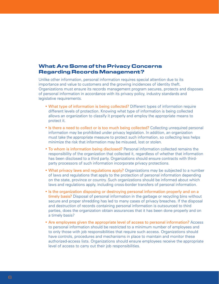### <span id="page-7-0"></span>**What Are Some of the Privacy Concerns Regarding Records Management?**

Unlike other information, personal information requires special attention due to its importance and value to customers and the growing incidences of identity theft. Organizations must ensure its records management program secures, protects and disposes of personal information in accordance with its privacy policy, industry standards and legislative requirements.

- What type of information is being collected? Different types of information require different levels of protection. Knowing what type of information is being collected allows an organization to classify it properly and employ the appropriate means to protect it.
- Is there a need to collect or is too much being collected? Collecting unrequired personal information may be prohibited under privacy legislation. In addition, an organization must take the appropriate measure to protect such information, so collecting less helps minimize the risk that information may be misused, lost or stolen.
- To whom is information being disclosed? Personal information collected remains the responsibility of the organization that collected it, regardless of whether that information has been disclosed to a third party. Organizations should ensure contracts with thirdparty processors of such information incorporate privacy protections.
- What privacy laws and regulations apply? Organizations may be subjected to a number of laws and regulations that apply to the protection of personal information depending on the state, province or country. Such organizations should be informed about which laws and regulations apply, including cross-border transfers of personal information.
- Is the organization disposing or destroying personal information properly and on a timely basis? Disposal of personal information in the garbage or recycling bins without secure and proper shredding has led to many cases of privacy breaches. If the disposal and destruction of records containing personal information is outsourced to third parties, does the organization obtain assurances that it has been done properly and on a timely basis?
- Are employees given the appropriate level of access to personal information? Access to personal information should be restricted to a minimum number of employees and to only those with job responsibilities that require such access. Organizations should have controls, procedures and mechanisms in place to maintain and monitor these authorized-access lists. Organizations should ensure employees receive the appropriate level of access to carry out their job responsibilities.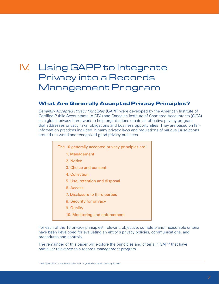# <span id="page-8-0"></span>IV. Using GAPP to Integrate Privacy into a Records Management Program

#### **What Are Generally Accepted Privacy Principles?**

*Generally Accepted Privacy Principles* (GAPP) were developed by the American Institute of Certified Public Accountants (AICPA) and Canadian Institute of Chartered Accountants (CICA) as a global privacy framework to help organizations create an effective privacy program that addresses privacy risks, obligations and business opportunities. They are based on fairinformation practices included in many privacy laws and regulations of various jurisdictions around the world and recognized good privacy practices.

- The 10 generally accepted privacy principles are:
	- 1. Management
	- 2. Notice
	- 3. Choice and consent
	- 4. Collection
	- 5. Use, retention and disposal
	- 6. Access
	- 7. Disclosure to third parties
	- 8. Security for privacy
	- 9. Quality
	- 10. Monitoring and enforcement

For each of the 10 privacy principles<sup>5</sup>, relevant, objective, complete and measurable criteria have been developed for evaluating an entity's privacy policies, communications, and procedures and controls.

The remainder of this paper will explore the principles and criteria in GAPP that have particular relevance to a records management program.

<sup>&</sup>lt;sup>5</sup> See Appendix A for more details about the 10 generally accepted privacy principles.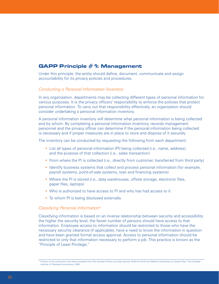### <span id="page-9-0"></span>**GAPP Principle #1: Management**

Under this principle, the entity should define, document, communicate and assign accountability for its privacy policies and procedures.

#### *Conducting a Personal Information Inventory*

In any organization, departments may be collecting different types of personal information for various purposes. It is the privacy officers' responsibility to enforce the policies that protect personal information. To carry out that responsibility effectively, an organization should consider undertaking a personal information inventory.

A personal information inventory will determine what personal information is being collected and by whom. By completing a personal information inventory, records management personnel and the privacy officer can determine if the personal information being collected is necessary and if proper measures are in place to store and dispose of it securely.

The inventory can be conducted by requesting the following from each department:

- List all types of personal information (PI) being collected (i.e., name, address) and the purpose of that collection (i.e., sales transaction)
- From where the PI is collected (i.e., directly from customer, transferred from third party)
- Identify business systems that collect and process personal information (for example, payroll systems, point-of-sale systems, loan and financing systems)
- Where the PI is stored (i.e., data warehouses, offsite storage, electronic files, paper files, laptops)
- Who is authorized to have access to PI and who has had access to it
- To whom PI is being disclosed externally

#### *Classifying Personal Information6*

Classifying information is based on an inverse relationship between security and accessibility: the higher the security level, the fewer number of persons should have access to that information. Employee access to information should be restricted to those who have the necessary security clearance (if applicable), have a need to know the information in question and have been granted formal access approval. Access to personal information should be restricted to only that information necessary to perform a job. This practice is known as the "Principle of Least Privilege."

<sup>6</sup> Portions of this publication have been excerpted from *The Canadian Privacy and Data Security Toolkit for Small and Medium Enterprises* by Claudiu Popa. The Canadian Institute of Chartered Accountants, 2009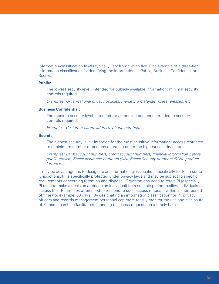Information-classification levels typically vary from two to five. One example of a three-tier information classification is identifying the information as Public, Business Confidential or Secret.

#### **Public:**

The lowest security level; intended for publicly available information; minimal security controls required.

*Examples: Organizational privacy policies, marketing materials, press releases, etc.*

#### **Business Confidential:**

The medium security level; intended for authorized personnel; moderate security controls required.

*Examples: Customer name, address, phone numbers*

#### **Secret:**

The highest security level; intended for the most sensitive information; access restricted to a minimum number of persons operating under the highest security controls.

*Examples: Bank account numbers, credit account numbers, financial information before public release, Social Insurance numbers (SIN), Social Security numbers (SSN), product formulas*

It may be advantageous to designate an information classification specifically for PI. In some jurisdictions, PI is specifically protected under privacy laws and may be subject to specific requirements concerning retention and disposal. Organizations need to retain PI (especially PI used to make a decision affecting an individual) for a suitable period to allow individuals to access their PI. Entities often need to respond to such access requests within a short period of time (for example, 30 days). By designating an information classification for PI, privacy officers and records management personnel can more readily monitor the use and disclosure of PI, and it can help facilitate responding to access requests on a timely basis.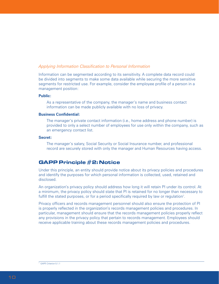#### <span id="page-11-0"></span>*Applying Information Classification to Personal Information*

Information can be segmented according to its sensitivity. A complete data record could be divided into segments to make some data available while securing the more sensitive segments for restricted use. For example, consider the employee profile of a person in a management position:

#### **Public:**

As a representative of the company, the manager's name and business contact information can be made publicly available with no loss of privacy.

#### **Business Confidential:**

The manager's private contact information (i.e., home address and phone number) is provided to only a select number of employees for use only within the company, such as an emergency contact list.

#### **Secret:**

The manager's salary, Social Security or Social Insurance number, and professional record are securely stored with only the manager and Human Resources having access.

### **GAPP Principle #2: Notice**

Under this principle, an entity should provide notice about its privacy policies and procedures and identify the purposes for which personal information is collected, used, retained and disclosed.

An organization's privacy policy should address how long it will retain PI under its control. At a minimum, the privacy policy should state that PI is retained for no longer than necessary to fulfill the stated purposes, or for a period specifically required by law or regulation<sup>7</sup>.

Privacy officers and records management personnel should also ensure the protection of PI is properly reflected in the organization's records management policies and procedures. In particular, management should ensure that the records management policies properly reflect any provisions in the privacy policy that pertain to records management. Employees should receive applicable training about these records management policies and procedures.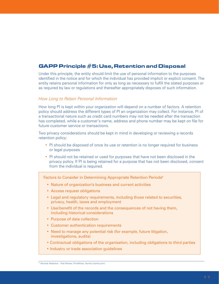### <span id="page-12-0"></span>**GAPP Principle #5: Use, Retention and Disposal**

Under this principle, the entity should limit the use of personal information to the purposes identified in the notice and for which the individual has provided implicit or explicit consent. The entity retains personal information for only as long as necessary to fulfill the stated purposes or as required by law or regulations and thereafter appropriately disposes of such information.

#### *How Long to Retain Personal Information*

How long PI is kept within your organization will depend on a number of factors. A retention policy should address the different types of PI an organization may collect. For instance, PI of a transactional nature such as credit card numbers may not be needed after the transaction has completed, while a customer's name, address and phone number may be kept on file for future customer service or transactions.

Two privacy considerations should be kept in mind in developing or reviewing a records retention policy:

- PI should be disposed of once its use or retention is no longer required for business or legal purposes
- PI should not be retained or used for purposes that have not been disclosed in the privacy policy. If PI is being retained for a purpose that has not been disclosed, consent from the individual is required.

Factors to Consider in Determining Appropriate Retention Periods<sup>8</sup>

- Nature of organization's business and current activities
- Access request obligations
- Legal and regulatory requirements, including those related to securities, privacy, health, taxes and employment
- Use/benefit of the records and the consequences of not having them, including historical considerations
- Purpose of data collection
- Customer authentication requirements
- Need to manage any potential risk (for example, future litigation, investigations, audits)
- Contractual obligations of the organization, including obligations to third parties
- Industry or trade association guidelines

<sup>&</sup>lt;sup>8</sup> Records Retention – Risk Review, PrivaWorks, Nymity (nymity.com)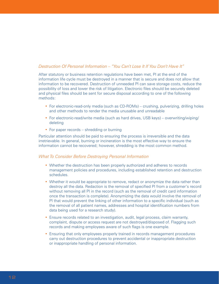#### *Destruction Of Personal Information – "You Can't Lose It If You Don't Have It"*

After statutory or business retention regulations have been met, PI at the end of the information life cycle must be destroyed in a manner that is secure and does not allow that information to be recovered. Destruction of unneeded PI can save storage costs, reduce the possibility of loss and lower the risk of litigation. Electronic files should be securely deleted and physical files should be sent for secure disposal according to one of the following methods:

- For electronic-read-only media (such as CD-ROMs) crushing, pulverizing, drilling holes and other methods to render the media unusable and unreadable
- For electronic-read/write media (such as hard drives, USB keys) overwriting/wiping/ deleting
- For paper records shredding or burning

Particular attention should be paid to ensuring the process is irreversible and the data irretrievable. In general, burning or incineration is the most effective way to ensure the information cannot be recovered; however, shredding is the most common method.

#### *What To Consider Before Destroying Personal Information*

- Whether the destruction has been properly authorized and adheres to records management policies and procedures, including established retention and destruction schedules.
- Whether it would be appropriate to remove, redact or anonymize the data rather than destroy all the data. Redaction is the removal of specified PI from a customer's record without removing all PI in the record (such as the removal of credit card information once the transaction is complete). Anonymizing the data would involve the removal of PI that would prevent the linking of other information to a specific individual (such as the removal of all patient names, addresses and hospital identification numbers from data being used for a research study).
- Ensure records related to an investigation, audit, legal process, claim warranty, complaint, dispute or access request are not destroyed/disposed of. Flagging such records and making employees aware of such flags is one example.
- Ensuring that only employees properly trained in records management procedures carry out destruction procedures to prevent accidental or inappropriate destruction or inappropriate handling of personal information.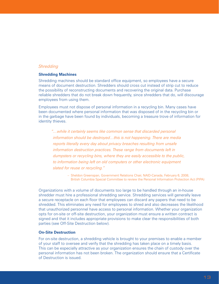#### *Shredding*

#### **Shredding Machines**

Shredding machines should be standard office equipment, so employees have a secure means of document destruction. Shredders should cross cut instead of strip cut to reduce the possibility of reconstructing documents and recovering the original data. Purchase reliable shredders that do not break down frequently, since shredders that do, will discourage employees from using them.

Employees must not dispose of personal information in a recycling bin. Many cases have been documented where personal information that was disposed of in the recycling bin or in the garbage have been found by individuals, becoming a treasure trove of information for identity thieves.

*"…while it certainly seems like common sense that discarded personal information should be destroyed…this is not happening. There are media reports literally every day about privacy breaches resulting from unsafe information destruction practices. These range from documents left in dumpsters or recycling bins, where they are easily accessible to the public, to information being left on old computers or other electronic equipment slated for reuse or recycling."*

> – Sheldon Greenspan, Government Relations Chair, NAID-Canada, February 6, 2008, British Columbia Special Committee to review the Personal Information Protection Act (PIPA)

Organizations with a volume of documents too large to be handled through an in-house shredder must hire a professional shredding service. Shredding services will generally leave a secure receptacle on each floor that employees can discard any papers that need to be shredded. This eliminates any need for employees to shred and also decreases the likelihood that unauthorized personnel have access to personal information. Whether your organization opts for on-site or off-site destruction, your organization must ensure a written contract is signed and that it includes appropriate provisions to make clear the responsibilities of both parties (see Off-Site Destruction below).

#### **On-Site Destruction**

For on-site destruction, a shredding vehicle is brought to your premises to enable a member of your staff to oversee and verify that the shredding has taken place on a timely basis. This can be especially attractive as your organization ensures the chain of custody over the personal information has not been broken. The organization should ensure that a Certificate of Destruction is issued.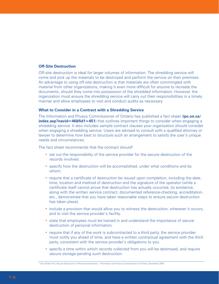#### **Off-Site Destruction**

Off-site destruction is ideal for larger volumes of information. The shredding service will come and pick up the materials to be destroyed and perform the service on their premises. An advantage to using off-site destruction is that materials are often commingled with material from other organizations, making it even more difficult for anyone to recreate the documents, should they come into possession of the shredded information. However, the organization must ensure the shredding service will carry out their responsibilities in a timely manner and allow employees to visit and conduct audits as necessary.

#### **What to Consider in a Contract with a Shredding Service**

The Information and Privacy Commissioner of Ontario has published a fact sheet (**ipc.on.ca/ index.asp?navid=46&fid1=451**) that outlines important things to consider when engaging a shredding service. It also includes sample contract clauses your organization should consider when engaging a shredding service. Users are advised to consult with a qualified attorney or lawyer to determine how best to structure such an arrangement to satisfy the user's unique needs and circumstances.

The fact sheet recommends that the contract should<sup>9</sup>

- set out the responsibility of the service provider for the secure destruction of the records involved.
- specify how the destruction will be accomplished, under what conditions and by whom.
- require that a certificate of destruction be issued upon completion, including the date, time, location and method of destruction and the signature of the operator (while a certificate itself cannot prove that destruction has actually occurred, its existence, along with the written service contract, documented reference-checking, accreditation, etc., demonstrate that you have taken reasonable steps to ensure secure destruction has taken place).
- include a provision that would allow you to witness the destruction, wherever it occurs, and to visit the service provider's facility.
- state that employees must be trained in and understand the importance of secure destruction of personal information.
- require that if any of the work is subcontracted to a third party, the service provider must notify you ahead of time, and have a written contractual agreement with the third party, consistent with the service provider's obligations to you.
- specify a time within which records collected from you will be destroyed, and require secure storage pending such destruction.

<sup>&</sup>lt;sup>9</sup> Fact Sheet #10, Secure Destruction of Personal Information. Information and Privacy Commissioner of Ontario, December 2005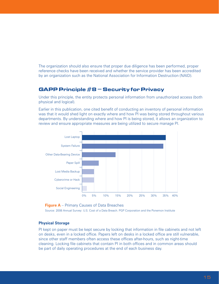<span id="page-16-0"></span>The organization should also ensure that proper due diligence has been performed, proper reference checks have been received and whether the service provider has been accredited by an organization such as the National Association for Information Destruction (NAID).

### **GAPP Principle #8 – Security for Privacy**

Under this principle, the entity protects personal information from unauthorized access (both physical and logical).

Earlier in this publication, one cited benefit of conducting an inventory of personal information was that it would shed light on exactly where and how PI was being stored throughout various departments. By understanding where and how PI is being stored, it allows an organization to review and ensure appropriate measures are being utilized to secure manage PI.





Source: 2008 Annual Survey: U.S. Cost of a Data Breach. PGP Corporation and the Ponemon Institute

#### **Physical Storage**

PI kept on paper must be kept secure by locking that information in file cabinets and not left on desks, even in a locked office. Papers left on desks in a locked office are still vulnerable, since other staff members often access these offices after-hours, such as night-time cleaning. Locking file cabinets that contain PI in both offices and in common areas should be part of daily operating procedures at the end of each business day.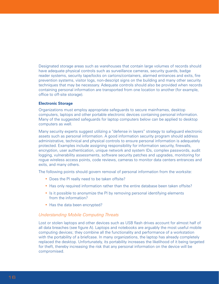Designated storage areas such as warehouses that contain large volumes of records should have adequate physical controls such as surveillance cameras, security guards, badge reader systems, security tape/locks on cartons/containers, alarmed entrances and exits, fire prevention systems, visitor logs, non-descript signs on the building and many other security techniques that may be necessary. Adequate controls should also be provided when records containing personal information are transported from one location to another (for example, office to off-site storage).

#### **Electronic Storage**

Organizations must employ appropriate safeguards to secure mainframes, desktop computers, laptops and other portable electronic devices containing personal information. Many of the suggested safeguards for laptop computers below can be applied to desktop computers as well.

Many security experts suggest utilizing a "defense in layers" strategy to safeguard electronic assets such as personal information. A good information security program should address administrative, technical and physical controls to ensure personal information is adequately protected. Examples include assigning responsibility for information security, firewalls, encryption, user authentication, unique network and system IDs, complex passwords, audit logging, vulnerability assessments, software security patches and upgrades, monitoring for rogue wireless access points, code reviews, cameras to monitor data centers entrances and exits, and many others.

The following points should govern removal of personal information from the worksite:

- Does the PI really need to be taken offsite?
- Has only required information rather than the entire database been taken offsite?
- Is it possible to anonymize the PI by removing personal identifying elements from the information?
- Has the data been encrypted?

#### *Understanding Mobile Computing Threats*

Lost or stolen laptops and other devices such as USB flash drives account for almost half of all data breaches (see figure A). Laptops and notebooks are arguably the most useful mobile computing devices; they combine all the functionality and performance of a workstation with the portability of a briefcase. In many organizations, the laptop has already completely replaced the desktop. Unfortunately, its portability increases the likelihood of it being targeted for theft, thereby increasing the risk that any personal information on the device will be compromised.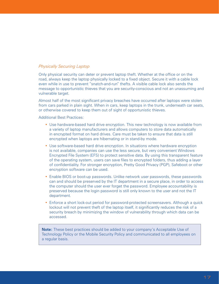#### *Physically Securing Laptop*

Only physical security can deter or prevent laptop theft. Whether at the office or on the road, always keep the laptop physically locked to a fixed object. Secure it with a cable lock even while in use to prevent "snatch-and-run" thefts. A visible cable lock also sends the message to opportunistic thieves that you are security-conscious and not an unassuming and vulnerable target.

Almost half of the most significant privacy breaches have occurred after laptops were stolen from cars parked in plain sight. When in cars, keep laptops in the trunk, underneath car seats, or otherwise covered to keep them out of sight of opportunistic thieves.

Additional Best Practices:

- Use hardware-based hard drive encryption. This new technology is now available from a variety of laptop manufacturers and allows computers to store data automatically in encrypted format on hard drives. Care must be taken to ensure that data is still encrypted when laptops are hibernating or in stand-by mode.
- Use software-based hard drive encryption. In situations where hardware encryption is not available, companies can use the less secure, but very convenient Windows Encrypted File System (EFS) to protect sensitive data. By using this transparent feature of the operating system, users can save files to encrypted folders, thus adding a layer of confidentiality. For stronger encryption, Pretty Good Privacy (PGP), Safeboot or other encryption software can be used.
- Enable BIOS or boot-up passwords. Unlike network user passwords, these passwords can and should be preserved by the IT department in a secure place, in order to access the computer should the user ever forget the password. Employee accountability is preserved because the login password is still only known to the user and not the IT department.
- Enforce a short lock-out period for password-protected screensavers. Although a quick lockout will not prevent theft of the laptop itself, it significantly reduces the risk of a security breach by minimizing the window of vulnerability through which data can be accessed.

**Note:** These best practices should be added to your company's Acceptable Use of Technology Policy or the Mobile Security Policy and communicated to all employees on a regular basis.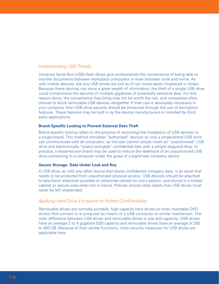#### *Understanding USB Threats*

Universal Serial Bus (USB) flash drives give professionals the convenience of being able to transfer documents between workplace computers or even between work and home. As with mobile devices, the tiny USB drives are just as (if not more) easily misplaced or stolen. Because these devices can store a great wealth of information, the theft of a single USB drive could compromise the security of multiple gigabytes of potentially sensitive data. For this reason alone, the convenience they bring may not be worth the risk, and companies often choose to block removable USB devices altogether. If their use is absolutely necessary in your company, then USB drive security should be enhanced through the use of encryption features. These features may be built in by the device manufacturers or installed by thirdparty applications.

#### **Brand-Specific Locking to Prevent External Data Theft**

Brand-specific locking refers to the practice of restricting the installation of USB devices to a single brand. This method simulates "authorized" devices so only a single-brand USB drive can communicate with all computers; an intruder cannot simply insert an "unauthorized" USB drive and electronically "snatch-and-grab" confidential files with a simple drag-and-drop. In practice, a lesser-known brand may be used to reduce the likelihood of an unauthorized USB drive connecting to a computer under the guise of a legitimate company device.

#### **Secure Storage: Data Under Lock and Key**

A USB drive, as with any other device that stores confidential company data, is an asset that needs to be protected from unauthorized physical access. USB devices should be attached to keychains whenever possible or otherwise carried on one's person, and stored in a locked cabinet or secure area when not in transit. Policies should state clearly that USB drives must never be left unattended.

#### *Applying Hard Drive Encryption to Protect Confidentiality*

Removable drives are normally portable, high-capacity hard drives (or even rewritable DVD drives) that connect to a computer by means of a USB connector or similar mechanism. The main difference between USB drives and removable drives is size and capacity; USB drives have an average 2 to 4 gigabyte (GB) capacity and removable drives have an average of 250 to 400 GB. Because of their similar functions, most security measures for USB drives are applicable here.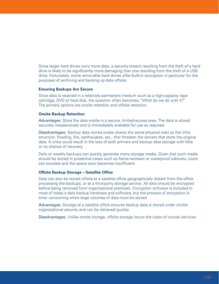Since larger hard drives carry more data, a security breach resulting from the theft of a hard drive is likely to be significantly more damaging than one resulting from the theft of a USB drive. Fortunately, some removable hard drives offer built-in encryption in particular for the purposes of archiving and backing up data offsite.

#### **Ensuring Backups Are Secure**

Once data is retained in a relatively permanent medium such as a high-capacity tape cartridge, DVD or hard disk, the question often becomes, "What do we do with it?" The primary options are onsite retention and offsite retention.

#### **Onsite Backup Retention**

Advantages: Store the data onsite in a secure, limited-access area. The data is stored securely, inexpensively and is immediately available for use as required.

Disadvantages: Backup data stored onsite shares the same physical risks as the infrastructure: flooding, fire, earthquakes, etc., that threaten the servers that store the original data. A crisis could result in the loss of both primary and backup data storage with little or no chance of recovery.

Daily or weekly backups can quickly generate many storage media. Given that such media should be stored in protective cases such as flame-resistant or waterproof cabinets, costs can escalate and the space soon becomes insufficient.

#### **Offsite Backup Storage – Satellite Office**

Data can also be stored offsite at a satellite office geographically distant from the office processing the backups, or at a third-party storage service. All data should be encrypted before being removed from organizational premises. Encryption software is included in most of today's data backup hardware and software, but the process of encryption is time- consuming when large volumes of data must be stored.

Advantages: Storage at a satellite office ensures backup data is stored under similar organizational security and can be retrieved quickly.

Disadvantages: Unlike onsite storage, offsite storage incurs the costs of courier services.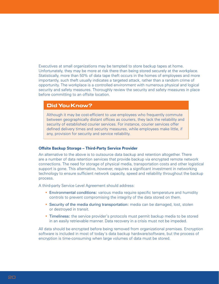Executives at small organizations may be tempted to store backup tapes at home. Unfortunately, they may be more at risk there than being stored securely at the workplace. Statistically, more than 50% of data tape theft occurs in the homes of employees and more importantly, such theft usually indicates a targeted attack, rather than a random crime of opportunity. The workplace is a controlled environment with numerous physical and logical security and safety measures. Thoroughly review the security and safety measures in place before committing to an offsite location.

#### **Did You Know?**

Although it may be cost-efficient to use employees who frequently commute between geographically distant offices as couriers, they lack the reliability and security of established courier services. For instance, courier services offer defined delivery times and security measures, while employees make little, if any, provision for security and service reliability.

#### **Offsite Backup Storage – Third-Party Service Provider**

An alternative to the above is to outsource data backup and retention altogether. There are a number of data retention services that provide backup via encrypted remote network connections. The need for storage of physical media, transportation costs and other logistical support is gone. This alternative, however, requires a significant investment in networking technology to ensure sufficient network capacity, speed and reliability throughout the backup process.

A third-party Service Level Agreement should address:

- Environmental conditions: various media require specific temperature and humidity controls to prevent compromising the integrity of the data stored on them.
- Security of the media during transportation: media can be damaged, lost, stolen or destroyed in transit.
- Timeliness: the service provider's protocols must permit backup media to be stored in an easily retrievable manner. Data recovery in a crisis must not be impeded.

All data should be encrypted before being removed from organizational premises. Encryption software is included in most of today's data backup hardware/software, but the process of encryption is time-consuming when large volumes of data must be stored.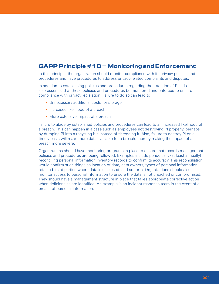### <span id="page-22-0"></span>**GAPP Principle #10 – Monitoring and Enforcement**

In this principle, the organization should monitor compliance with its privacy policies and procedures and have procedures to address privacy-related complaints and disputes.

In addition to establishing policies and procedures regarding the retention of PI, it is also essential that these policies and procedures be monitored and enforced to ensure compliance with privacy legislation. Failure to do so can lead to:

- Unnecessary additional costs for storage
- Increased likelihood of a breach
- More extensive impact of a breach

Failure to abide by established policies and procedures can lead to an increased likelihood of a breach. This can happen in a case such as employees not destroying PI properly, perhaps by dumping PI into a recycling bin instead of shredding it. Also, failure to destroy PI on a timely basis will make more data available for a breach, thereby making the impact of a breach more severe.

Organizations should have monitoring programs in place to ensure that records management policies and procedures are being followed. Examples include periodically (at least annually) reconciling personal information inventory records to confirm its accuracy. This reconciliation would confirm such things as location of data, data owners, types of personal information retained, third parties where data is disclosed, and so forth. Organizations should also monitor access to personal information to ensure the data is not breached or compromised. They should have a management structure in place that takes appropriate corrective action when deficiencies are identified. An example is an incident response team in the event of a breach of personal information.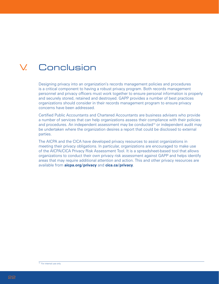# <span id="page-23-0"></span>V. Conclusion

Designing privacy into an organization's records management policies and procedures is a critical component to having a robust privacy program. Both records management personnel and privacy officers must work together to ensure personal information is properly and securely stored, retained and destroyed. GAPP provides a number of best practices organizations should consider in their records management program to ensure privacy concerns have been addressed.

Certified Public Accountants and Chartered Accountants are business advisers who provide a number of services that can help organizations assess their compliance with their policies and procedures. An independent assessment may be conducted<sup>10</sup> or independent audit may be undertaken where the organization desires a report that could be disclosed to external parties.

The AICPA and the CICA have developed privacy resources to assist organizations in meeting their privacy obligations. In particular, organizations are encouraged to make use of the AICPA/CICA Privacy Risk Assessment Tool. It is a spreadsheet-based tool that allows organizations to conduct their own privacy risk assessment against GAPP and helps identify areas that may require additional attention and action. This and other privacy resources are available from **[aicpa.org/privacy](www.aicpa.org/privacy)** and **[cica.ca/privacy](http://www.cica.ca/service-and-products/privacy)**.

<sup>10</sup> For internal use only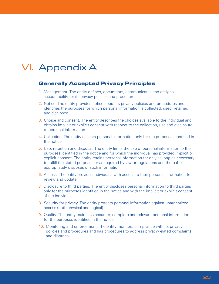# <span id="page-24-0"></span>VI. Appendix A

#### **Generally Accepted Privacy Principles**

- 1. Management. The entity defines, documents, communicates and assigns accountability for its privacy policies and procedures.
- 2. Notice. The entity provides notice about its privacy policies and procedures and identifies the purposes for which personal information is collected, used, retained and disclosed.
- 3. Choice and consent. The entity describes the choices available to the individual and obtains implicit or explicit consent with respect to the collection, use and disclosure of personal information.
- 4. Collection. The entity collects personal information only for the purposes identified in the notice.
- 5. Use, retention and disposal. The entity limits the use of personal information to the purposes identified in the notice and for which the individual has provided implicit or explicit consent. The entity retains personal information for only as long as necessary to fulfill the stated purposes or as required by law or regulations and thereafter appropriately disposes of such information.
- 6. Access. The entity provides individuals with access to their personal information for review and update.
- 7. Disclosure to third parties. The entity discloses personal information to third parties only for the purposes identified in the notice and with the implicit or explicit consent of the individual.
- 8. Security for privacy. The entity protects personal information against unauthorized access (both physical and logical).
- 9. Quality. The entity maintains accurate, complete and relevant personal information for the purposes identified in the notice.
- 10. Monitoring and enforcement. The entity monitors compliance with its privacy policies and procedures and has procedures to address privacy-related complaints and disputes.